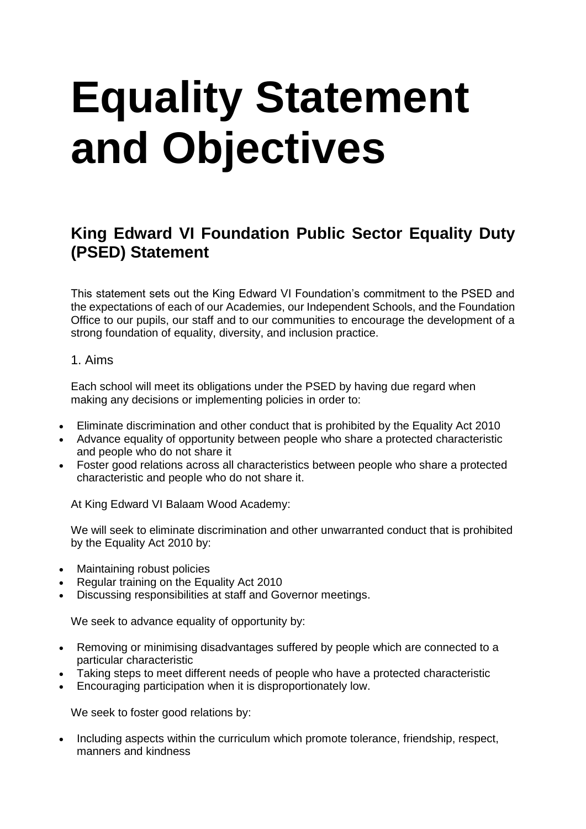# **Equality Statement and Objectives**

# **King Edward VI Foundation Public Sector Equality Duty (PSED) Statement**

This statement sets out the King Edward VI Foundation's commitment to the PSED and the expectations of each of our Academies, our Independent Schools, and the Foundation Office to our pupils, our staff and to our communities to encourage the development of a strong foundation of equality, diversity, and inclusion practice.

## 1. Aims

Each school will meet its obligations under the PSED by having due regard when making any decisions or implementing policies in order to:

- Eliminate discrimination and other conduct that is prohibited by the Equality Act 2010
- Advance equality of opportunity between people who share a protected characteristic and people who do not share it
- Foster good relations across all characteristics between people who share a protected characteristic and people who do not share it.

At King Edward VI Balaam Wood Academy:

We will seek to eliminate discrimination and other unwarranted conduct that is prohibited by the Equality Act 2010 by:

- Maintaining robust policies
- Regular training on the Equality Act 2010
- Discussing responsibilities at staff and Governor meetings.

We seek to advance equality of opportunity by:

- Removing or minimising disadvantages suffered by people which are connected to a particular characteristic
- Taking steps to meet different needs of people who have a protected characteristic
- Encouraging participation when it is disproportionately low.

We seek to foster good relations by:

• Including aspects within the curriculum which promote tolerance, friendship, respect, manners and kindness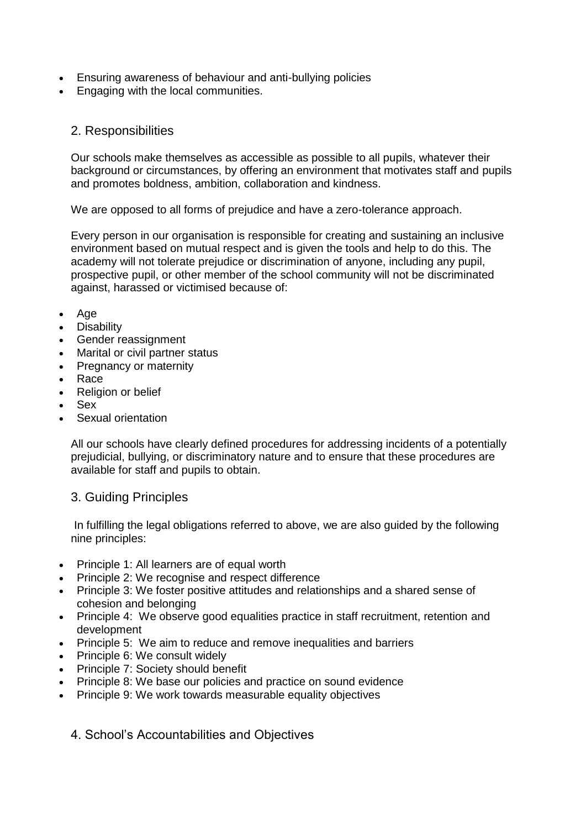- Ensuring awareness of behaviour and anti-bullying policies
- Engaging with the local communities.

### 2. Responsibilities

Our schools make themselves as accessible as possible to all pupils, whatever their background or circumstances, by offering an environment that motivates staff and pupils and promotes boldness, ambition, collaboration and kindness.

We are opposed to all forms of prejudice and have a zero-tolerance approach.

Every person in our organisation is responsible for creating and sustaining an inclusive environment based on mutual respect and is given the tools and help to do this. The academy will not tolerate prejudice or discrimination of anyone, including any pupil, prospective pupil, or other member of the school community will not be discriminated against, harassed or victimised because of:

- Age
- Disability
- Gender reassignment
- Marital or civil partner status
- Pregnancy or maternity
- Race
- Religion or belief
- Sex
- Sexual orientation

All our schools have clearly defined procedures for addressing incidents of a potentially prejudicial, bullying, or discriminatory nature and to ensure that these procedures are available for staff and pupils to obtain.

### 3. Guiding Principles

In fulfilling the legal obligations referred to above, we are also guided by the following nine principles:

- Principle 1: All learners are of equal worth
- Principle 2: We recognise and respect difference
- Principle 3: We foster positive attitudes and relationships and a shared sense of cohesion and belonging
- Principle 4: We observe good equalities practice in staff recruitment, retention and development
- Principle 5: We aim to reduce and remove inequalities and barriers
- Principle 6: We consult widely
- Principle 7: Society should benefit
- Principle 8: We base our policies and practice on sound evidence
- Principle 9: We work towards measurable equality objectives

4. School's Accountabilities and Objectives